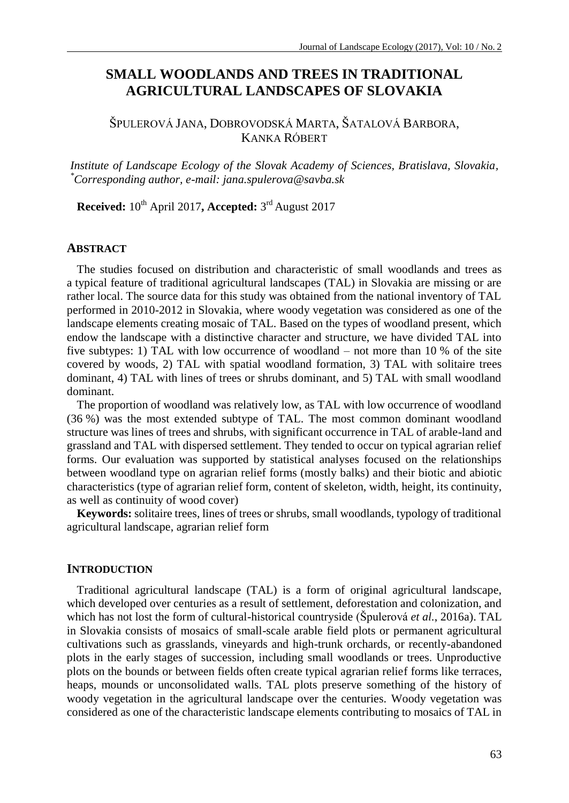# **SMALL WOODLANDS AND TREES IN TRADITIONAL AGRICULTURAL LANDSCAPES OF SLOVAKIA**

# ŠPULEROVÁ JANA, DOBROVODSKÁ MARTA, ŠATALOVÁ BARBORA, KANKA RÓBERT

*Institute of Landscape Ecology of the Slovak Academy of Sciences, Bratislava, Slovakia, \*Corresponding author, e-mail: jana.spulerova@savba.sk*

**Received:** 10th April 2017**, Accepted:** 3 rd August 2017

## **ABSTRACT**

The studies focused on distribution and characteristic of small woodlands and trees as a typical feature of traditional agricultural landscapes (TAL) in Slovakia are missing or are rather local. The source data for this study was obtained from the national inventory of TAL performed in 2010-2012 in Slovakia, where woody vegetation was considered as one of the landscape elements creating mosaic of TAL. Based on the types of woodland present, which endow the landscape with a distinctive character and structure, we have divided TAL into five subtypes: 1) TAL with low occurrence of woodland – not more than 10 % of the site covered by woods, 2) TAL with spatial woodland formation, 3) TAL with solitaire trees dominant, 4) TAL with lines of trees or shrubs dominant, and 5) TAL with small woodland dominant.

The proportion of woodland was relatively low, as TAL with low occurrence of woodland (36 %) was the most extended subtype of TAL. The most common dominant woodland structure was lines of trees and shrubs, with significant occurrence in TAL of arable-land and grassland and TAL with dispersed settlement. They tended to occur on typical agrarian relief forms. Our evaluation was supported by statistical analyses focused on the relationships between woodland type on agrarian relief forms (mostly balks) and their biotic and abiotic characteristics (type of agrarian relief form, content of skeleton, width, height, its continuity, as well as continuity of wood cover)

**Keywords:** solitaire trees, lines of trees or shrubs, small woodlands, typology of traditional agricultural landscape, agrarian relief form

#### **INTRODUCTION**

Traditional agricultural landscape (TAL) is a form of original agricultural landscape, which developed over centuries as a result of settlement, deforestation and colonization, and which has not lost the form of cultural-historical countryside (Špulerová *et al.*, 2016a). TAL in Slovakia consists of mosaics of small-scale arable field plots or permanent agricultural cultivations such as grasslands, vineyards and high-trunk orchards, or recently-abandoned plots in the early stages of succession, including small woodlands or trees. Unproductive plots on the bounds or between fields often create typical agrarian relief forms like terraces, heaps, mounds or unconsolidated walls. TAL plots preserve something of the history of woody vegetation in the agricultural landscape over the centuries. Woody vegetation was considered as one of the characteristic landscape elements contributing to mosaics of TAL in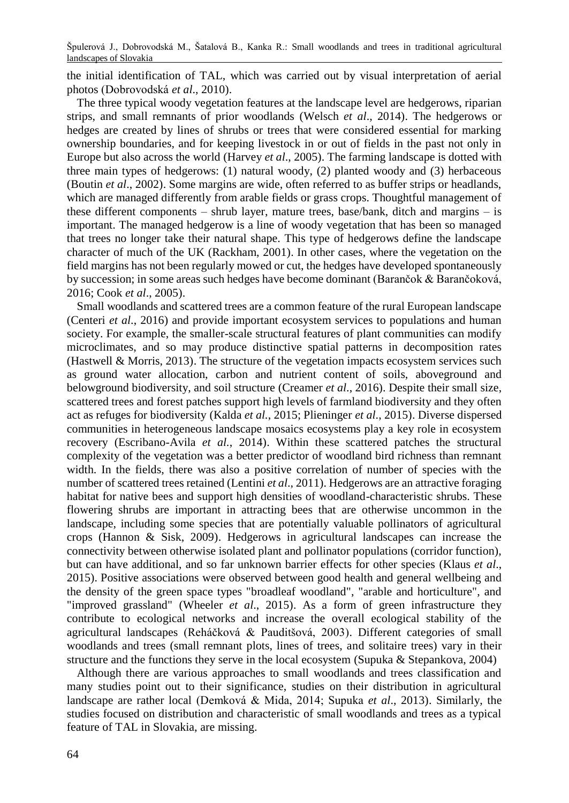the initial identification of TAL, which was carried out by visual interpretation of aerial photos (Dobrovodská *et al*., 2010).

The three typical woody vegetation features at the landscape level are hedgerows, riparian strips, and small remnants of prior woodlands (Welsch *et al*., 2014). The hedgerows or hedges are created by lines of shrubs or trees that were considered essential for marking ownership boundaries, and for keeping livestock in or out of fields in the past not only in Europe but also across the world (Harvey *et al*., 2005). The farming landscape is dotted with three main types of hedgerows: (1) natural woody, (2) planted woody and (3) herbaceous (Boutin *et al*., 2002). Some margins are wide, often referred to as buffer strips or headlands, which are managed differently from arable fields or grass crops. Thoughtful management of these different components – shrub layer, mature trees, base/bank, ditch and margins – is important. The managed hedgerow is a line of woody vegetation that has been so managed that trees no longer take their natural shape. This type of hedgerows define the landscape character of much of the UK (Rackham, 2001). In other cases, where the vegetation on the field margins has not been regularly mowed or cut, the hedges have developed spontaneously by succession; in some areas such hedges have become dominant (Barančok & Barančoková, 2016; Cook *et al*., 2005).

Small woodlands and scattered trees are a common feature of the rural European landscape (Centeri *et al*., 2016) and provide important ecosystem services to populations and human society. For example, the smaller-scale structural features of plant communities can modify microclimates, and so may produce distinctive spatial patterns in decomposition rates (Hastwell & Morris, 2013). The structure of the vegetation impacts ecosystem services such as ground water allocation, carbon and nutrient content of soils, aboveground and belowground biodiversity, and soil structure (Creamer *et al*., 2016). Despite their small size, scattered trees and forest patches support high levels of farmland biodiversity and they often act as refuges for biodiversity (Kalda *et al.*, 2015; Plieninger *et al*., 2015). Diverse dispersed communities in heterogeneous landscape mosaics ecosystems play a key role in ecosystem recovery (Escribano-Avila *et al.*, 2014). Within these scattered patches the structural complexity of the vegetation was a better predictor of woodland bird richness than remnant width. In the fields, there was also a positive correlation of number of species with the number of scattered trees retained (Lentini *et al*., 2011). Hedgerows are an attractive foraging habitat for native bees and support high densities of woodland-characteristic shrubs. These flowering shrubs are important in attracting bees that are otherwise uncommon in the landscape, including some species that are potentially valuable pollinators of agricultural crops (Hannon & Sisk, 2009). Hedgerows in agricultural landscapes can increase the connectivity between otherwise isolated plant and pollinator populations (corridor function), but can have additional, and so far unknown barrier effects for other species (Klaus *et al*., 2015). Positive associations were observed between good health and general wellbeing and the density of the green space types "broadleaf woodland", "arable and horticulture", and "improved grassland" (Wheeler *et al*., 2015). As a form of green infrastructure they contribute to ecological networks and increase the overall ecological stability of the agricultural landscapes (Reháčková & Pauditšová, 2003). Different categories of small woodlands and trees (small remnant plots, lines of trees, and solitaire trees) vary in their structure and the functions they serve in the local ecosystem (Supuka & Stepankova, 2004)

Although there are various approaches to small woodlands and trees classification and many studies point out to their significance, studies on their distribution in agricultural landscape are rather local (Demková & Mida, 2014; Supuka *et al*., 2013). Similarly, the studies focused on distribution and characteristic of small woodlands and trees as a typical feature of TAL in Slovakia, are missing.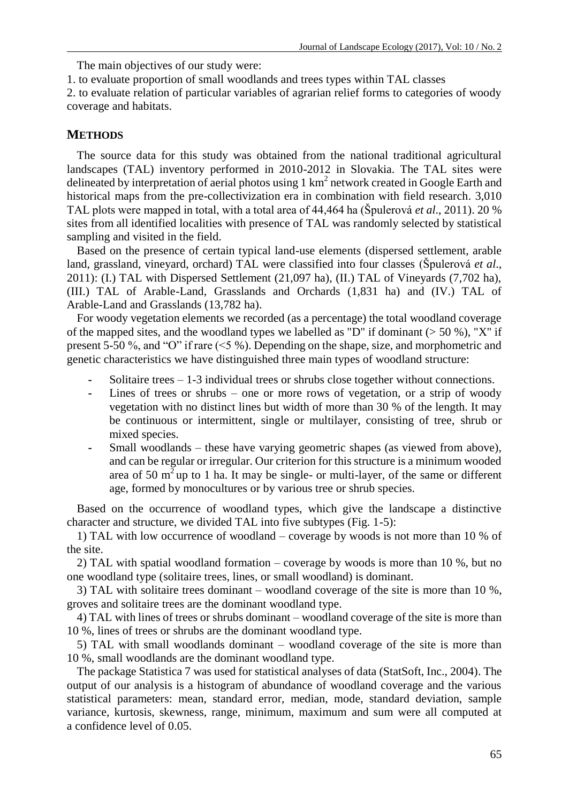The main objectives of our study were:

1. to evaluate proportion of small woodlands and trees types within TAL classes

2. to evaluate relation of particular variables of agrarian relief forms to categories of woody coverage and habitats.

## **METHODS**

The source data for this study was obtained from the national traditional agricultural landscapes (TAL) inventory performed in 2010-2012 in Slovakia. The TAL sites were delineated by interpretation of aerial photos using 1  $km^2$  network created in Google Earth and historical maps from the pre-collectivization era in combination with field research. 3,010 TAL plots were mapped in total, with a total area of 44,464 ha (Špulerová *et al*., 2011). 20 % sites from all identified localities with presence of TAL was randomly selected by statistical sampling and visited in the field.

Based on the presence of certain typical land-use elements (dispersed settlement, arable land, grassland, vineyard, orchard) TAL were classified into four classes (Špulerová *et al*., 2011): (I.) TAL with Dispersed Settlement (21,097 ha), (II.) TAL of Vineyards (7,702 ha), (III.) TAL of Arable-Land, Grasslands and Orchards (1,831 ha) and (IV.) TAL of Arable-Land and Grasslands (13,782 ha).

For woody vegetation elements we recorded (as a percentage) the total woodland coverage of the mapped sites, and the woodland types we labelled as "D" if dominant  $(> 50 \%)$ , "X" if present 5-50 %, and "O" if rare (<5 %). Depending on the shape, size, and morphometric and genetic characteristics we have distinguished three main types of woodland structure:

- **-** Solitaire trees 1-3 individual trees or shrubs close together without connections.
- **-** Lines of trees or shrubs one or more rows of vegetation, or a strip of woody vegetation with no distinct lines but width of more than 30 % of the length. It may be continuous or intermittent, single or multilayer, consisting of tree, shrub or mixed species.
- Small woodlands these have varying geometric shapes (as viewed from above), and can be regular or irregular. Our criterion for this structure is a minimum wooded area of 50  $m<sup>2</sup>$  up to 1 ha. It may be single- or multi-layer, of the same or different age, formed by monocultures or by various tree or shrub species.

Based on the occurrence of woodland types, which give the landscape a distinctive character and structure, we divided TAL into five subtypes (Fig. 1-5):

1) TAL with low occurrence of woodland – coverage by woods is not more than 10 % of the site.

2) TAL with spatial woodland formation – coverage by woods is more than 10 %, but no one woodland type (solitaire trees, lines, or small woodland) is dominant.

3) TAL with solitaire trees dominant – woodland coverage of the site is more than  $10\%$ , groves and solitaire trees are the dominant woodland type.

4) TAL with lines of trees or shrubs dominant – woodland coverage of the site is more than 10 %, lines of trees or shrubs are the dominant woodland type.

5) TAL with small woodlands dominant – woodland coverage of the site is more than 10 %, small woodlands are the dominant woodland type.

The package Statistica 7 was used for statistical analyses of data (StatSoft, Inc., 2004). The output of our analysis is a histogram of abundance of woodland coverage and the various statistical parameters: mean, standard error, median, mode, standard deviation, sample variance, kurtosis, skewness, range, minimum, maximum and sum were all computed at a confidence level of 0.05.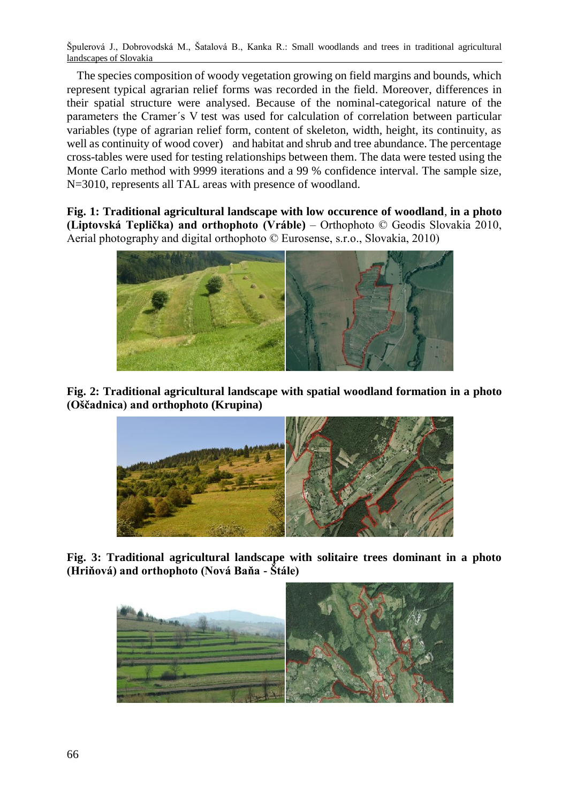The species composition of woody vegetation growing on field margins and bounds, which represent typical agrarian relief forms was recorded in the field. Moreover, differences in their spatial structure were analysed. Because of the nominal-categorical nature of the parameters the Cramer´s V test was used for calculation of correlation between particular variables (type of agrarian relief form, content of skeleton, width, height, its continuity, as well as continuity of wood cover) and habitat and shrub and tree abundance. The percentage cross-tables were used for testing relationships between them. The data were tested using the Monte Carlo method with 9999 iterations and a 99 % confidence interval. The sample size, N=3010, represents all TAL areas with presence of woodland.

**Fig. 1: Traditional agricultural landscape with low occurence of woodland**, **in a photo (Liptovská Teplička) and orthophoto (Vráble)** – Orthophoto © Geodis Slovakia 2010, Aerial photography and digital orthophoto © Eurosense, s.r.o., Slovakia, 2010)



**Fig. 2: Traditional agricultural landscape with spatial woodland formation in a photo (Oščadnica) and orthophoto (Krupina)**



**Fig. 3: Traditional agricultural landscape with solitaire trees dominant in a photo (Hriňová) and orthophoto (Nová Baňa - Štále)**

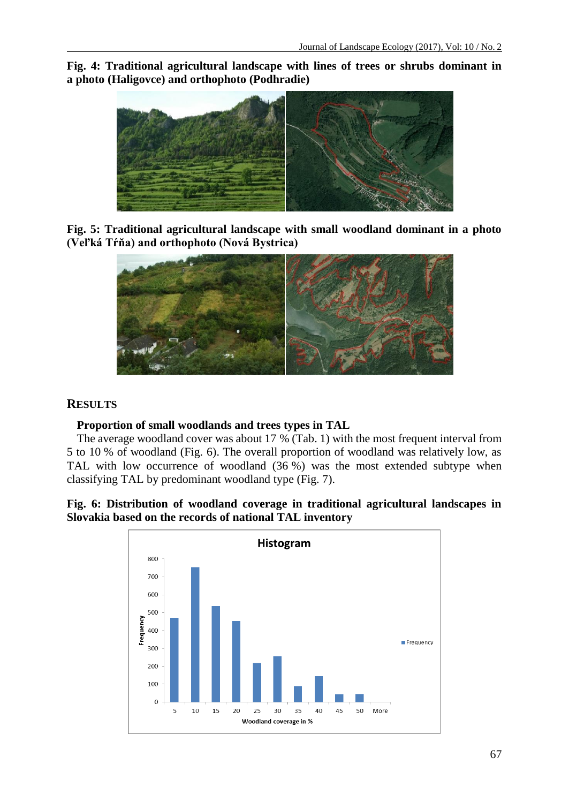**Fig. 4: Traditional agricultural landscape with lines of trees or shrubs dominant in a photo (Haligovce) and orthophoto (Podhradie)**



**Fig. 5: Traditional agricultural landscape with small woodland dominant in a photo (Veľká Tŕňa) and orthophoto (Nová Bystrica)**



## **RESULTS**

## **Proportion of small woodlands and trees types in TAL**

The average woodland cover was about 17 % (Tab. 1) with the most frequent interval from 5 to 10 % of woodland (Fig. 6). The overall proportion of woodland was relatively low, as TAL with low occurrence of woodland (36 %) was the most extended subtype when classifying TAL by predominant woodland type (Fig. 7).

## **Fig. 6: Distribution of woodland coverage in traditional agricultural landscapes in Slovakia based on the records of national TAL inventory**

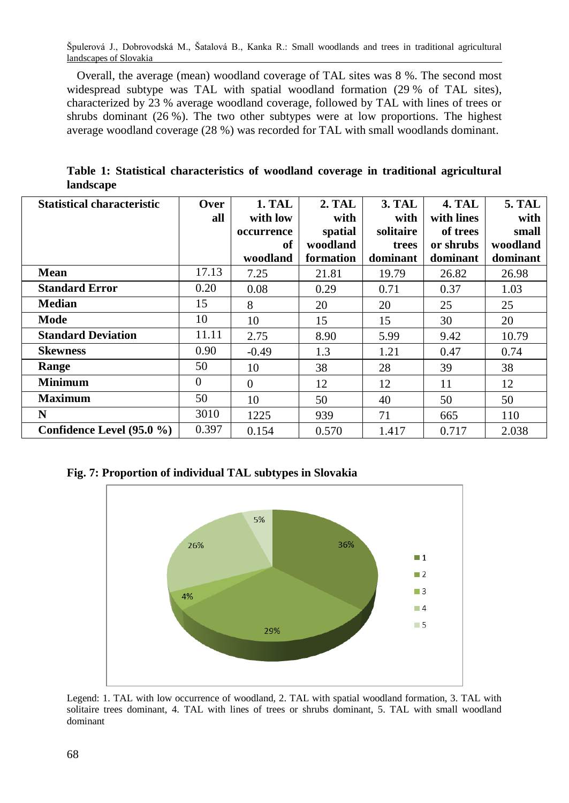Overall, the average (mean) woodland coverage of TAL sites was 8 %. The second most widespread subtype was TAL with spatial woodland formation (29 % of TAL sites), characterized by 23 % average woodland coverage, followed by TAL with lines of trees or shrubs dominant (26 %). The two other subtypes were at low proportions. The highest average woodland coverage (28 %) was recorded for TAL with small woodlands dominant.

**Table 1: Statistical characteristics of woodland coverage in traditional agricultural landscape**

| <b>Statistical characteristic</b> | <b>Over</b> | <b>1. TAL</b> | <b>2. TAL</b> | <b>3. TAL</b> | <b>4. TAL</b> | <b>5. TAL</b> |  |  |
|-----------------------------------|-------------|---------------|---------------|---------------|---------------|---------------|--|--|
|                                   | all         | with low      | with          | with          | with lines    | with          |  |  |
|                                   |             | occurrence    | spatial       | solitaire     | of trees      | small         |  |  |
|                                   |             | of            | woodland      | trees         | or shrubs     | woodland      |  |  |
|                                   |             | woodland      | formation     | dominant      | dominant      | dominant      |  |  |
| <b>Mean</b>                       | 17.13       | 7.25          | 21.81         | 19.79         | 26.82         | 26.98         |  |  |
| <b>Standard Error</b>             | 0.20        | 0.08          | 0.29          | 0.71          | 0.37          | 1.03          |  |  |
| <b>Median</b>                     | 15          | 8             | 20            | 20            | 25            | 25            |  |  |
| Mode                              | 10          | 10            | 15            | 15            | 30            | 20            |  |  |
| <b>Standard Deviation</b>         | 11.11       | 2.75          | 8.90          | 5.99          | 9.42          | 10.79         |  |  |
| <b>Skewness</b>                   | 0.90        | $-0.49$       | 1.3           | 1.21          | 0.47          | 0.74          |  |  |
| Range                             | 50          | 10            | 38            | 28            | 39            | 38            |  |  |
| <b>Minimum</b>                    | $\Omega$    | $\Omega$      | 12            | 12            | 11            | 12            |  |  |
| <b>Maximum</b>                    | 50          | 10            | 50            | 40            | 50            | 50            |  |  |
| N                                 | 3010        | 1225          | 939           | 71            | 665           | 110           |  |  |
| Confidence Level $(95.0\% )$      | 0.397       | 0.154         | 0.570         | 1.417         | 0.717         | 2.038         |  |  |

**Fig. 7: Proportion of individual TAL subtypes in Slovakia**



Legend: 1. TAL with low occurrence of woodland, 2. TAL with spatial woodland formation, 3. TAL with solitaire trees dominant, 4. TAL with lines of trees or shrubs dominant, 5. TAL with small woodland dominant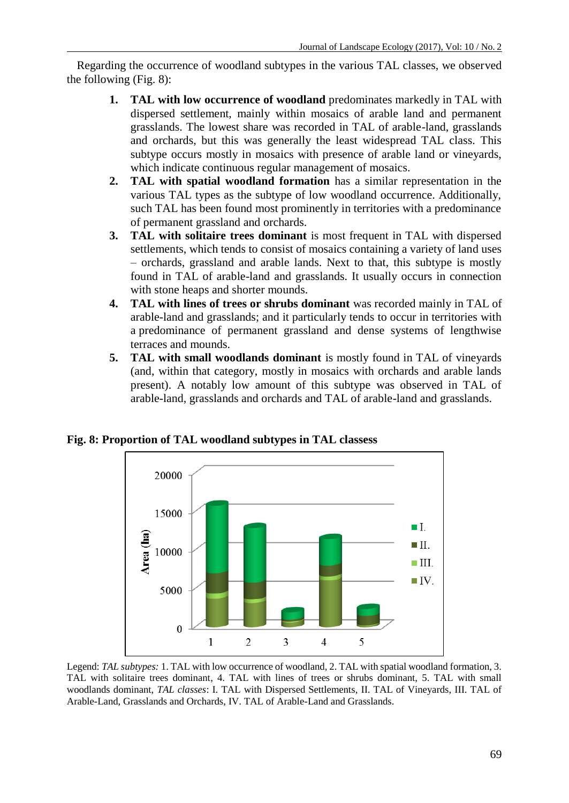Regarding the occurrence of woodland subtypes in the various TAL classes, we observed the following (Fig. 8):

- **1. TAL with low occurrence of woodland** predominates markedly in TAL with dispersed settlement, mainly within mosaics of arable land and permanent grasslands. The lowest share was recorded in TAL of arable-land, grasslands and orchards, but this was generally the least widespread TAL class. This subtype occurs mostly in mosaics with presence of arable land or vineyards, which indicate continuous regular management of mosaics.
- **2. TAL with spatial woodland formation** has a similar representation in the various TAL types as the subtype of low woodland occurrence. Additionally, such TAL has been found most prominently in territories with a predominance of permanent grassland and orchards.
- **3. TAL with solitaire trees dominant** is most frequent in TAL with dispersed settlements, which tends to consist of mosaics containing a variety of land uses – orchards, grassland and arable lands. Next to that, this subtype is mostly found in TAL of arable-land and grasslands. It usually occurs in connection with stone heaps and shorter mounds.
- **4. TAL with lines of trees or shrubs dominant** was recorded mainly in TAL of arable-land and grasslands; and it particularly tends to occur in territories with a predominance of permanent grassland and dense systems of lengthwise terraces and mounds.
- **5. TAL with small woodlands dominant** is mostly found in TAL of vineyards (and, within that category, mostly in mosaics with orchards and arable lands present). A notably low amount of this subtype was observed in TAL of arable-land, grasslands and orchards and TAL of arable-land and grasslands.





Legend: *TAL subtypes:* 1. TAL with low occurrence of woodland, 2. TAL with spatial woodland formation, 3. TAL with solitaire trees dominant, 4. TAL with lines of trees or shrubs dominant, 5. TAL with small woodlands dominant, *TAL classes*: I. TAL with Dispersed Settlements, II. TAL of Vineyards, III. TAL of Arable-Land, Grasslands and Orchards, IV. TAL of Arable-Land and Grasslands.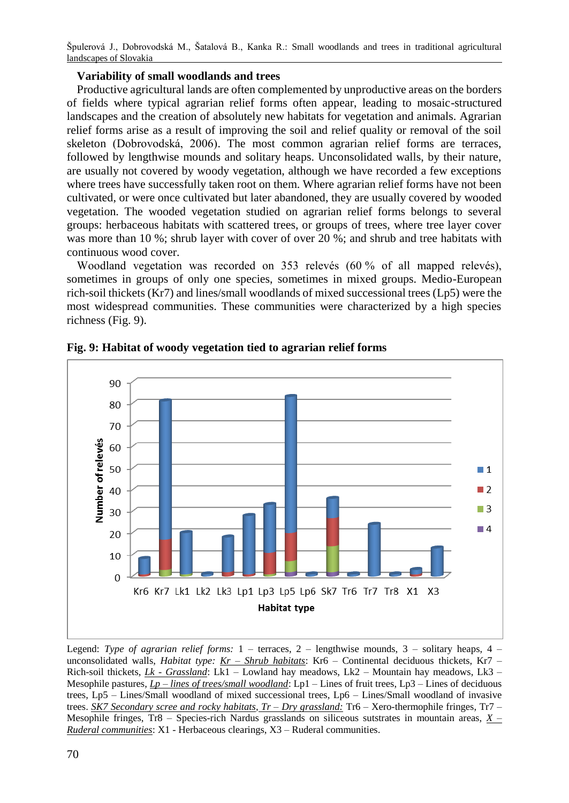# **Variability of small woodlands and trees**

Productive agricultural lands are often complemented by unproductive areas on the borders of fields where typical agrarian relief forms often appear, leading to mosaic-structured landscapes and the creation of absolutely new habitats for vegetation and animals. Agrarian relief forms arise as a result of improving the soil and relief quality or removal of the soil skeleton (Dobrovodská, 2006). The most common agrarian relief forms are terraces, followed by lengthwise mounds and solitary heaps. Unconsolidated walls, by their nature, are usually not covered by woody vegetation, although we have recorded a few exceptions where trees have successfully taken root on them. Where agrarian relief forms have not been cultivated, or were once cultivated but later abandoned, they are usually covered by wooded vegetation. The wooded vegetation studied on agrarian relief forms belongs to several groups: herbaceous habitats with scattered trees, or groups of trees, where tree layer cover was more than 10 %; shrub layer with cover of over 20 %; and shrub and tree habitats with continuous wood cover.

Woodland vegetation was recorded on 353 relevés (60% of all mapped relevés), sometimes in groups of only one species, sometimes in mixed groups. Medio-European rich-soil thickets (Kr7) and lines/small woodlands of mixed successional trees (Lp5) were the most widespread communities. These communities were characterized by a high species richness (Fig. 9).



**Fig. 9: Habitat of woody vegetation tied to agrarian relief forms**

Legend: *Type of agrarian relief forms:* 1 – terraces, 2 – lengthwise mounds, 3 – solitary heaps, 4 – unconsolidated walls, *Habitat type: Kr – Shrub habitats*: Kr6 – Continental deciduous thickets, Kr7 – Rich-soil thickets, *Lk - Grassland*: Lk1 – Lowland hay meadows, Lk2 – Mountain hay meadows, Lk3 – Mesophile pastures, *Lp – lines of trees/small woodland*: Lp1 – Lines of fruit trees, Lp3 – Lines of deciduous trees, Lp5 – Lines/Small woodland of mixed successional trees, Lp6 – Lines/Small woodland of invasive trees. *SK7 Secondary scree and rocky habitats*, *Tr – Dry grassland:* Tr6 – Xero-thermophile fringes, Tr7 – Mesophile fringes, Tr8 – Species-rich Nardus grasslands on siliceous sutstrates in mountain areas, *X – Ruderal communities*: X1 - Herbaceous clearings, X3 – Ruderal communities.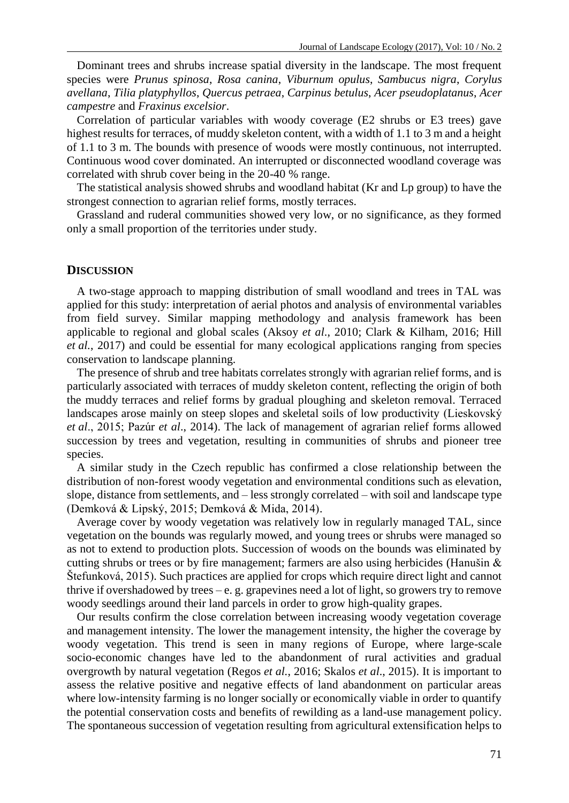Dominant trees and shrubs increase spatial diversity in the landscape. The most frequent species were *Prunus spinosa*, *Rosa canina*, *Viburnum opulus*, *Sambucus nigra*, *Corylus avellana*, *Tilia platyphyllos*, *Quercus petraea*, *Carpinus betulus*, *Acer pseudoplatanus*, *Acer campestre* and *Fraxinus excelsior*.

Correlation of particular variables with woody coverage (E2 shrubs or E3 trees) gave highest results for terraces, of muddy skeleton content, with a width of 1.1 to 3 m and a height of 1.1 to 3 m. The bounds with presence of woods were mostly continuous, not interrupted. Continuous wood cover dominated. An interrupted or disconnected woodland coverage was correlated with shrub cover being in the 20-40 % range.

The statistical analysis showed shrubs and woodland habitat (Kr and Lp group) to have the strongest connection to agrarian relief forms, mostly terraces.

Grassland and ruderal communities showed very low, or no significance, as they formed only a small proportion of the territories under study.

#### **DISCUSSION**

A two-stage approach to mapping distribution of small woodland and trees in TAL was applied for this study: interpretation of aerial photos and analysis of environmental variables from field survey. Similar mapping methodology and analysis framework has been applicable to regional and global scales (Aksoy *et al*., 2010; Clark & Kilham, 2016; Hill *et al.*, 2017) and could be essential for many ecological applications ranging from species conservation to landscape planning.

The presence of shrub and tree habitats correlates strongly with agrarian relief forms, and is particularly associated with terraces of muddy skeleton content, reflecting the origin of both the muddy terraces and relief forms by gradual ploughing and skeleton removal. Terraced landscapes arose mainly on steep slopes and skeletal soils of low productivity (Lieskovský *et al*., 2015; Pazúr *et al*., 2014). The lack of management of agrarian relief forms allowed succession by trees and vegetation, resulting in communities of shrubs and pioneer tree species.

A similar study in the Czech republic has confirmed a close relationship between the distribution of non-forest woody vegetation and environmental conditions such as elevation, slope, distance from settlements, and – less strongly correlated – with soil and landscape type (Demková & Lipský, 2015; Demková & Mida, 2014).

Average cover by woody vegetation was relatively low in regularly managed TAL, since vegetation on the bounds was regularly mowed, and young trees or shrubs were managed so as not to extend to production plots. Succession of woods on the bounds was eliminated by cutting shrubs or trees or by fire management; farmers are also using herbicides (Hanušin  $\&$ Štefunková, 2015). Such practices are applied for crops which require direct light and cannot thrive if overshadowed by trees  $-e$ . g. grapevines need a lot of light, so growers try to remove woody seedlings around their land parcels in order to grow high-quality grapes.

Our results confirm the close correlation between increasing woody vegetation coverage and management intensity. The lower the management intensity, the higher the coverage by woody vegetation. This trend is seen in many regions of Europe, where large-scale socio-economic changes have led to the abandonment of rural activities and gradual overgrowth by natural vegetation (Regos *et al.*, 2016; Skalos *et al*., 2015). It is important to assess the relative positive and negative effects of land abandonment on particular areas where low-intensity farming is no longer socially or economically viable in order to quantify the potential conservation costs and benefits of rewilding as a land-use management policy. The spontaneous succession of vegetation resulting from agricultural extensification helps to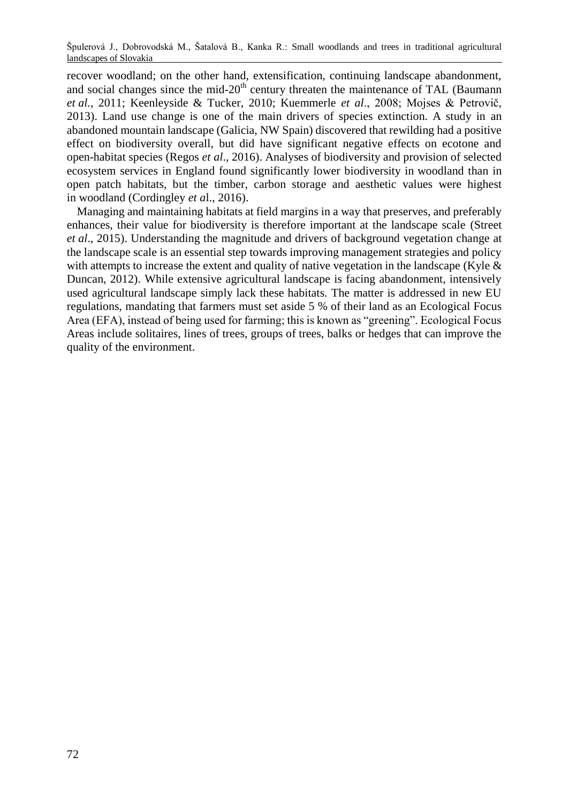recover woodland; on the other hand, extensification, continuing landscape abandonment, and social changes since the mid- $20<sup>th</sup>$  century threaten the maintenance of TAL (Baumann *et al.*, 2011; Keenleyside & Tucker, 2010; Kuemmerle *et al*., 2008; Mojses & Petrovič, 2013). Land use change is one of the main drivers of species extinction. A study in an abandoned mountain landscape (Galicia, NW Spain) discovered that rewilding had a positive effect on biodiversity overall, but did have significant negative effects on ecotone and open-habitat species (Regos *et al*., 2016). Analyses of biodiversity and provision of selected ecosystem services in England found significantly lower biodiversity in woodland than in open patch habitats, but the timber, carbon storage and aesthetic values were highest in woodland (Cordingley *et a*l., 2016).

Managing and maintaining habitats at field margins in a way that preserves, and preferably enhances, their value for biodiversity is therefore important at the landscape scale (Street *et al*., 2015). Understanding the magnitude and drivers of background vegetation change at the landscape scale is an essential step towards improving management strategies and policy with attempts to increase the extent and quality of native vegetation in the landscape (Kyle  $\&$ Duncan, 2012). While extensive agricultural landscape is facing abandonment, intensively used agricultural landscape simply lack these habitats. The matter is addressed in new EU regulations, mandating that farmers must set aside 5 % of their land as an Ecological Focus Area (EFA), instead of being used for farming; this is known as "greening". Ecological Focus Areas include solitaires, lines of trees, groups of trees, balks or hedges that can improve the quality of the environment.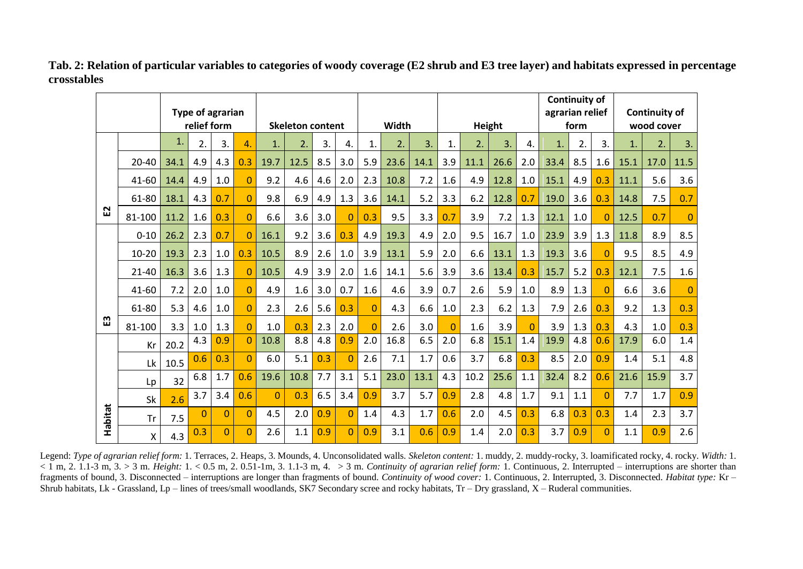|         |           | Type of agrarian |             |          |                |                         |      |     |          |          |      |        |          |      | <b>Continuity of</b><br>agrarian relief |          |      | Continuity of |          |              |      |          |
|---------|-----------|------------------|-------------|----------|----------------|-------------------------|------|-----|----------|----------|------|--------|----------|------|-----------------------------------------|----------|------|---------------|----------|--------------|------|----------|
|         |           |                  | relief form |          |                | <b>Skeleton content</b> |      |     | Width    |          |      | Height |          |      | form                                    |          |      | wood cover    |          |              |      |          |
|         |           | 1.               | 2.          | 3.       | 4.             | $\mathbf{1}$            | 2.   | 3.  | 4.       | 1.       | 2.   | 3.     | 1.       | 2.   | 3.                                      | 4.       | 1.   | 2.            | 3.       | $\mathbf{1}$ | 2.   | 3.       |
| ជ       | $20 - 40$ | 34.1             | 4.9         | 4.3      | 0.3            | 19.7                    | 12.5 | 8.5 | 3.0      | 5.9      | 23.6 | 14.1   | 3.9      | 11.1 | 26.6                                    | 2.0      | 33.4 | 8.5           | 1.6      | 15.1         | 17.0 | 11.5     |
|         | 41-60     | 14.4             | 4.9         | 1.0      | $\Omega$       | 9.2                     | 4.6  | 4.6 | 2.0      | 2.3      | 10.8 | 7.2    | 1.6      | 4.9  | 12.8                                    | 1.0      | 15.1 | 4.9           | 0.3      | 11.1         | 5.6  | 3.6      |
|         | 61-80     | 18.1             | 4.3         | 0.7      | $\Omega$       | 9.8                     | 6.9  | 4.9 | 1.3      | 3.6      | 14.1 | 5.2    | 3.3      | 6.2  | 12.8                                    | 0.7      | 19.0 | 3.6           | 0.3      | 14.8         | 7.5  | 0.7      |
|         | 81-100    | 11.2             | 1.6         | 0.3      | $\Omega$       | 6.6                     | 3.6  | 3.0 | $\Omega$ | 0.3      | 9.5  | 3.3    | 0.7      | 3.9  | 7.2                                     | 1.3      | 12.1 | 1.0           | $\Omega$ | 12.5         | 0.7  | $\Omega$ |
| m       | $0 - 10$  | 26.2             | 2.3         | 0.7      | $\Omega$       | 16.1                    | 9.2  | 3.6 | 0.3      | 4.9      | 19.3 | 4.9    | 2.0      | 9.5  | 16.7                                    | 1.0      | 23.9 | 3.9           | 1.3      | 11.8         | 8.9  | 8.5      |
|         | $10 - 20$ | 19.3             | 2.3         | 1.0      | 0.3            | 10.5                    | 8.9  | 2.6 | 1.0      | 3.9      | 13.1 | 5.9    | 2.0      | 6.6  | 13.1                                    | 1.3      | 19.3 | 3.6           | $\Omega$ | 9.5          | 8.5  | 4.9      |
|         | $21 - 40$ | 16.3             | 3.6         | 1.3      | $\Omega$       | 10.5                    | 4.9  | 3.9 | 2.0      | 1.6      | 14.1 | 5.6    | 3.9      | 3.6  | 13.4                                    | 0.3      | 15.7 | 5.2           | 0.3      | 12.1         | 7.5  | 1.6      |
|         | 41-60     | 7.2              | 2.0         | 1.0      | $\Omega$       | 4.9                     | 1.6  | 3.0 | 0.7      | 1.6      | 4.6  | 3.9    | 0.7      | 2.6  | 5.9                                     | 1.0      | 8.9  | 1.3           | $\Omega$ | 6.6          | 3.6  | $\Omega$ |
|         | 61-80     | 5.3              | 4.6         | 1.0      | $\Omega$       | 2.3                     | 2.6  | 5.6 | 0.3      | $\Omega$ | 4.3  | 6.6    | 1.0      | 2.3  | 6.2                                     | 1.3      | 7.9  | 2.6           | 0.3      | 9.2          | 1.3  | 0.3      |
|         | 81-100    | 3.3              | 1.0         | 1.3      | $\Omega$       | 1.0                     | 0.3  | 2.3 | 2.0      | $\Omega$ | 2.6  | 3.0    | $\Omega$ | 1.6  | 3.9                                     | $\Omega$ | 3.9  | 1.3           | 0.3      | 4.3          | 1.0  | 0.3      |
| Habitat | Kr        | 20.2             | 4.3         | 0.9      | $\Omega$       | 10.8                    | 8.8  | 4.8 | 0.9      | 2.0      | 16.8 | 6.5    | 2.0      | 6.8  | 15.1                                    | 1.4      | 19.9 | 4.8           | 0.6      | 17.9         | 6.0  | 1.4      |
|         | Lk        | 10.5             | 0.6         | 0.3      | $\overline{0}$ | 6.0                     | 5.1  | 0.3 | $\Omega$ | 2.6      | 7.1  | 1.7    | 0.6      | 3.7  | 6.8                                     | 0.3      | 8.5  | 2.0           | 0.9      | 1.4          | 5.1  | 4.8      |
|         | Lp        | 32               | 6.8         | 1.7      | 0.6            | 19.6                    | 10.8 | 7.7 | 3.1      | 5.1      | 23.0 | 13.1   | 4.3      | 10.2 | 25.6                                    | 1.1      | 32.4 | 8.2           | 0.6      | 21.6         | 15.9 | 3.7      |
|         | Sk        | 2.6              | 3.7         | 3.4      | 0.6            | $\Omega$                | 0.3  | 6.5 | 3.4      | 0.9      | 3.7  | 5.7    | 0.9      | 2.8  | 4.8                                     | 1.7      | 9.1  | 1.1           | $\Omega$ | 7.7          | 1.7  | 0.9      |
|         | Tr        | 7.5              | $\Omega$    | $\Omega$ | $\Omega$       | 4.5                     | 2.0  | 0.9 | $\Omega$ | 1.4      | 4.3  | 1.7    | 0.6      | 2.0  | 4.5                                     | 0.3      | 6.8  | 0.3           | 0.3      | 1.4          | 2.3  | 3.7      |
|         | X         | 4.3              | 0.3         | $\Omega$ | $\Omega$       | 2.6                     | 1.1  | 0.9 | $\Omega$ | 0.9      | 3.1  | 0.6    | 0.9      | 1.4  | 2.0                                     | 0.3      | 3.7  | 0.9           | $\Omega$ | 1.1          | 0.9  | 2.6      |

**Tab. 2: Relation of particular variables to categories of woody coverage (E2 shrub and E3 tree layer) and habitats expressed in percentage crosstables**

Legend: *Type of agrarian relief form:* 1. Terraces, 2. Heaps, 3. Mounds, 4. Unconsolidated walls. *Skeleton content:* 1. muddy, 2. muddy-rocky, 3. loamificated rocky, 4. rocky. *Width:* 1.  $\langle 1 \text{ m}, 2, 1.1.3 \text{ m}, 3. \rangle$  3 m. *Height:*  $1. \langle 0.5 \text{ m}, 2.0.51 \text{ -}1 \text{ m}, 3.1.1 \text{ -}3 \text{ m}, 4. \rangle$  3 m. *Continuity of agrarian relief form:* 1. Continuous, 2. Interrupted – interruptions are shorter than fragments of bound, 3. Disconnected – interruptions are longer than fragments of bound. *Continuity of wood cover:* 1. Continuous, 2. Interrupted, 3. Disconnected. *Habitat type:* Kr – Shrub habitats, Lk - Grassland, Lp – lines of trees/small woodlands, SK7 Secondary scree and rocky habitats, Tr – Dry grassland, X – Ruderal communities.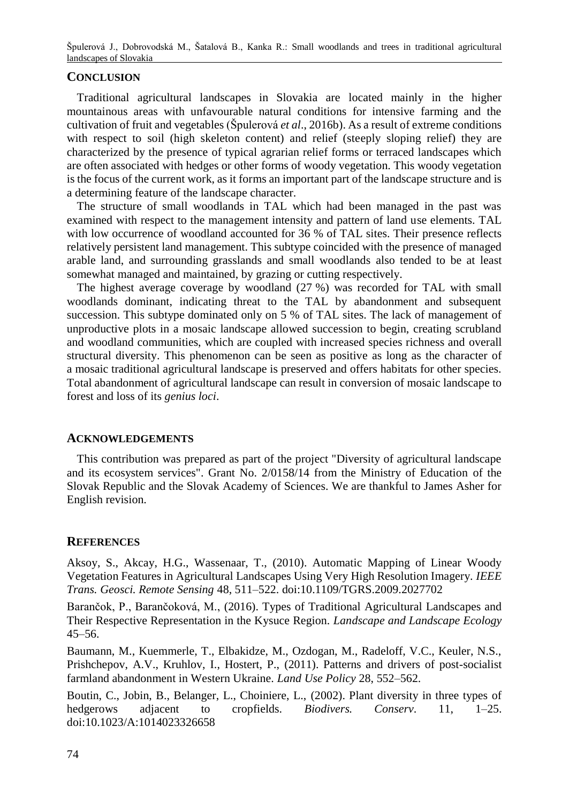## **CONCLUSION**

Traditional agricultural landscapes in Slovakia are located mainly in the higher mountainous areas with unfavourable natural conditions for intensive farming and the cultivation of fruit and vegetables (Špulerová *et al*., 2016b). As a result of extreme conditions with respect to soil (high skeleton content) and relief (steeply sloping relief) they are characterized by the presence of typical agrarian relief forms or terraced landscapes which are often associated with hedges or other forms of woody vegetation. This woody vegetation is the focus of the current work, as it forms an important part of the landscape structure and is a determining feature of the landscape character.

The structure of small woodlands in TAL which had been managed in the past was examined with respect to the management intensity and pattern of land use elements. TAL with low occurrence of woodland accounted for 36 % of TAL sites. Their presence reflects relatively persistent land management. This subtype coincided with the presence of managed arable land, and surrounding grasslands and small woodlands also tended to be at least somewhat managed and maintained, by grazing or cutting respectively.

The highest average coverage by woodland (27 %) was recorded for TAL with small woodlands dominant, indicating threat to the TAL by abandonment and subsequent succession. This subtype dominated only on 5 % of TAL sites. The lack of management of unproductive plots in a mosaic landscape allowed succession to begin, creating scrubland and woodland communities, which are coupled with increased species richness and overall structural diversity. This phenomenon can be seen as positive as long as the character of a mosaic traditional agricultural landscape is preserved and offers habitats for other species. Total abandonment of agricultural landscape can result in conversion of mosaic landscape to forest and loss of its *genius loci*.

## **ACKNOWLEDGEMENTS**

This contribution was prepared as part of the project "Diversity of agricultural landscape and its ecosystem services". Grant No. 2/0158/14 from the Ministry of Education of the Slovak Republic and the Slovak Academy of Sciences. We are thankful to James Asher for English revision.

## **REFERENCES**

Aksoy, S., Akcay, H.G., Wassenaar, T., (2010). Automatic Mapping of Linear Woody Vegetation Features in Agricultural Landscapes Using Very High Resolution Imagery. *IEEE Trans. Geosci. Remote Sensing* 48, 511–522. doi:10.1109/TGRS.2009.2027702

Barančok, P., Barančoková, M., (2016). Types of Traditional Agricultural Landscapes and Their Respective Representation in the Kysuce Region*. Landscape and Landscape Ecology* 45–56.

Baumann, M., Kuemmerle, T., Elbakidze, M., Ozdogan, M., Radeloff, V.C., Keuler, N.S., Prishchepov, A.V., Kruhlov, I., Hostert, P., (2011). Patterns and drivers of post-socialist farmland abandonment in Western Ukraine. *Land Use Policy* 28, 552–562.

Boutin, C., Jobin, B., Belanger, L., Choiniere, L., (2002). Plant diversity in three types of hedgerows adjacent to cropfields. *Biodivers. Conserv*. 11, 1–25. doi:10.1023/A:1014023326658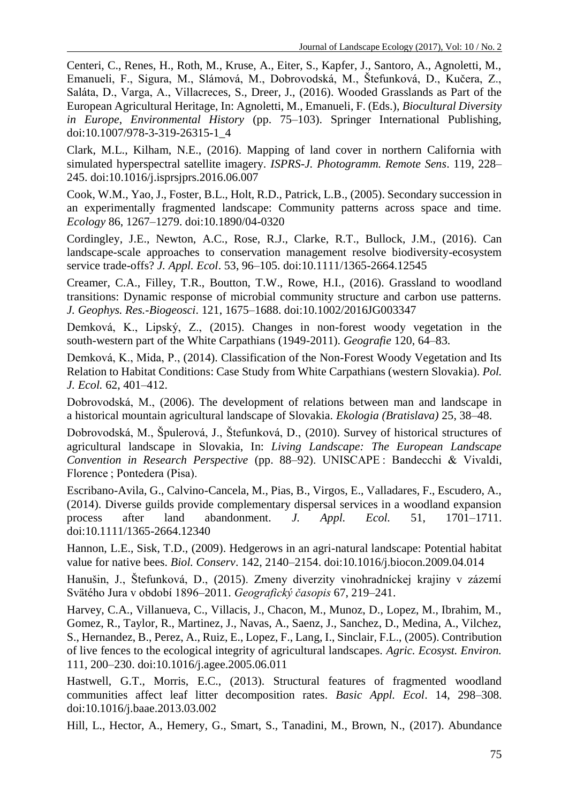Centeri, C., Renes, H., Roth, M., Kruse, A., Eiter, S., Kapfer, J., Santoro, A., Agnoletti, M., Emanueli, F., Sigura, M., Slámová, M., Dobrovodská, M., Štefunková, D., Kučera, Z., Saláta, D., Varga, A., Villacreces, S., Dreer, J., (2016). Wooded Grasslands as Part of the European Agricultural Heritage, In: Agnoletti, M., Emanueli, F. (Eds.), *Biocultural Diversity in Europe*, *Environmental History* (pp. 75–103). Springer International Publishing, doi:10.1007/978-3-319-26315-1\_4

Clark, M.L., Kilham, N.E., (2016). Mapping of land cover in northern California with simulated hyperspectral satellite imagery. *ISPRS-J. Photogramm. Remote Sens*. 119, 228– 245. doi:10.1016/j.isprsjprs.2016.06.007

Cook, W.M., Yao, J., Foster, B.L., Holt, R.D., Patrick, L.B., (2005). Secondary succession in an experimentally fragmented landscape: Community patterns across space and time. *Ecology* 86, 1267–1279. doi:10.1890/04-0320

Cordingley, J.E., Newton, A.C., Rose, R.J., Clarke, R.T., Bullock, J.M., (2016). Can landscape-scale approaches to conservation management resolve biodiversity-ecosystem service trade-offs? *J. Appl. Ecol*. 53, 96–105. doi:10.1111/1365-2664.12545

Creamer, C.A., Filley, T.R., Boutton, T.W., Rowe, H.I., (2016). Grassland to woodland transitions: Dynamic response of microbial community structure and carbon use patterns. *J. Geophys. Res.-Biogeosci*. 121, 1675–1688. doi:10.1002/2016JG003347

Demková, K., Lipský, Z., (2015). Changes in non-forest woody vegetation in the south-western part of the White Carpathians (1949-2011). *Geografie* 120, 64–83.

Demková, K., Mida, P., (2014). Classification of the Non-Forest Woody Vegetation and Its Relation to Habitat Conditions: Case Study from White Carpathians (western Slovakia). *Pol. J. Ecol.* 62, 401–412.

Dobrovodská, M., (2006). The development of relations between man and landscape in a historical mountain agricultural landscape of Slovakia. *Ekologia (Bratislava)* 25, 38–48.

Dobrovodská, M., Špulerová, J., Štefunková, D., (2010). Survey of historical structures of agricultural landscape in Slovakia, In: *Living Landscape: The European Landscape Convention in Research Perspective* (pp. 88–92). UNISCAPE : Bandecchi & Vivaldi, Florence ; Pontedera (Pisa).

Escribano-Avila, G., Calvino-Cancela, M., Pias, B., Virgos, E., Valladares, F., Escudero, A., (2014). Diverse guilds provide complementary dispersal services in a woodland expansion process after land abandonment. *J. Appl. Ecol.* 51, 1701–1711. doi:10.1111/1365-2664.12340

Hannon, L.E., Sisk, T.D., (2009). Hedgerows in an agri-natural landscape: Potential habitat value for native bees. *Biol. Conserv*. 142, 2140–2154. doi:10.1016/j.biocon.2009.04.014

Hanušin, J., Štefunková, D., (2015). Zmeny diverzity vinohradníckej krajiny v zázemí Svätého Jura v období 1896–2011. *Geografický časopis* 67, 219–241.

Harvey, C.A., Villanueva, C., Villacis, J., Chacon, M., Munoz, D., Lopez, M., Ibrahim, M., Gomez, R., Taylor, R., Martinez, J., Navas, A., Saenz, J., Sanchez, D., Medina, A., Vilchez, S., Hernandez, B., Perez, A., Ruiz, E., Lopez, F., Lang, I., Sinclair, F.L., (2005). Contribution of live fences to the ecological integrity of agricultural landscapes. *Agric. Ecosyst. Environ.*  111, 200–230. doi:10.1016/j.agee.2005.06.011

Hastwell, G.T., Morris, E.C., (2013). Structural features of fragmented woodland communities affect leaf litter decomposition rates. *Basic Appl. Ecol*. 14, 298–308. doi:10.1016/j.baae.2013.03.002

Hill, L., Hector, A., Hemery, G., Smart, S., Tanadini, M., Brown, N., (2017). Abundance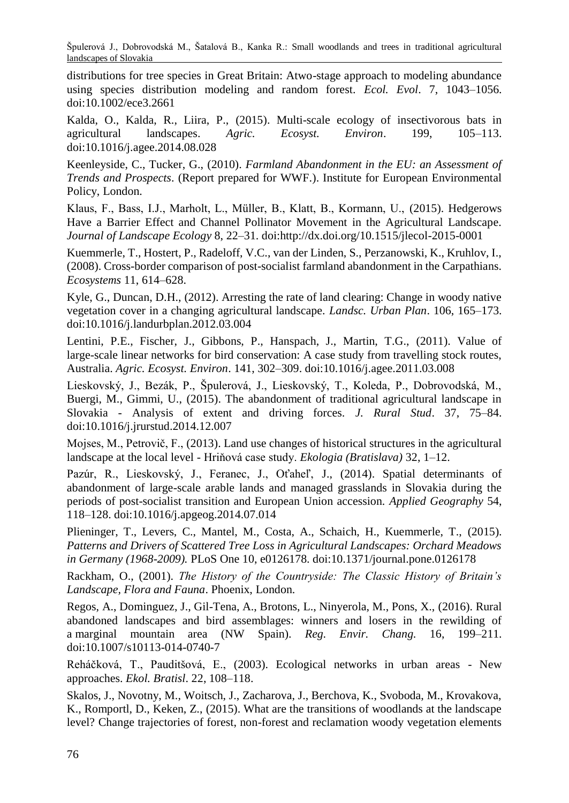distributions for tree species in Great Britain: Atwo-stage approach to modeling abundance using species distribution modeling and random forest. *Ecol. Evol*. 7, 1043–1056. doi:10.1002/ece3.2661

Kalda, O., Kalda, R., Liira, P., (2015). Multi-scale ecology of insectivorous bats in agricultural landscapes. Agric. Ecosyst. Environ. 199. 105–113. agricultural landscapes. *Agric. Ecosyst. Environ.* 199. doi:10.1016/j.agee.2014.08.028

Keenleyside, C., Tucker, G., (2010). *Farmland Abandonment in the EU: an Assessment of Trends and Prospects*. (Report prepared for WWF.). Institute for European Environmental Policy, London.

Klaus, F., Bass, I.J., Marholt, L., Müller, B., Klatt, B., Kormann, U., (2015). Hedgerows Have a Barrier Effect and Channel Pollinator Movement in the Agricultural Landscape. *Journal of Landscape Ecology* 8, 22–31. doi:http://dx.doi.org/10.1515/jlecol-2015-0001

Kuemmerle, T., Hostert, P., Radeloff, V.C., van der Linden, S., Perzanowski, K., Kruhlov, I., (2008). Cross-border comparison of post-socialist farmland abandonment in the Carpathians. *Ecosystems* 11, 614–628.

Kyle, G., Duncan, D.H., (2012). Arresting the rate of land clearing: Change in woody native vegetation cover in a changing agricultural landscape. *Landsc. Urban Plan*. 106, 165–173. doi:10.1016/j.landurbplan.2012.03.004

Lentini, P.E., Fischer, J., Gibbons, P., Hanspach, J., Martin, T.G., (2011). Value of large-scale linear networks for bird conservation: A case study from travelling stock routes, Australia. *Agric. Ecosyst. Environ*. 141, 302–309. doi:10.1016/j.agee.2011.03.008

Lieskovský, J., Bezák, P., Špulerová, J., Lieskovský, T., Koleda, P., Dobrovodská, M., Buergi, M., Gimmi, U., (2015). The abandonment of traditional agricultural landscape in Slovakia - Analysis of extent and driving forces. *J. Rural Stud*. 37, 75–84. doi:10.1016/j.jrurstud.2014.12.007

Mojses, M., Petrovič, F., (2013). Land use changes of historical structures in the agricultural landscape at the local level - Hriňová case study. *Ekologia (Bratislava)* 32, 1–12.

Pazúr, R., Lieskovský, J., Feranec, J., Oťaheľ, J., (2014). Spatial determinants of abandonment of large-scale arable lands and managed grasslands in Slovakia during the periods of post-socialist transition and European Union accession. *Applied Geography* 54, 118–128. doi:10.1016/j.apgeog.2014.07.014

Plieninger, T., Levers, C., Mantel, M., Costa, A., Schaich, H., Kuemmerle, T., (2015). *Patterns and Drivers of Scattered Tree Loss in Agricultural Landscapes: Orchard Meadows in Germany (1968-2009).* PLoS One 10, e0126178. doi:10.1371/journal.pone.0126178

Rackham, O., (2001). *The History of the Countryside: The Classic History of Britain's Landscape, Flora and Fauna*. Phoenix, London.

Regos, A., Dominguez, J., Gil-Tena, A., Brotons, L., Ninyerola, M., Pons, X., (2016). Rural abandoned landscapes and bird assemblages: winners and losers in the rewilding of a marginal mountain area (NW Spain). *Reg. Envir. Chang.* 16, 199–211. doi:10.1007/s10113-014-0740-7

Reháčková, T., Pauditšová, E., (2003). Ecological networks in urban areas - New approaches. *Ekol. Bratisl*. 22, 108–118.

Skalos, J., Novotny, M., Woitsch, J., Zacharova, J., Berchova, K., Svoboda, M., Krovakova, K., Romportl, D., Keken, Z., (2015). What are the transitions of woodlands at the landscape level? Change trajectories of forest, non-forest and reclamation woody vegetation elements